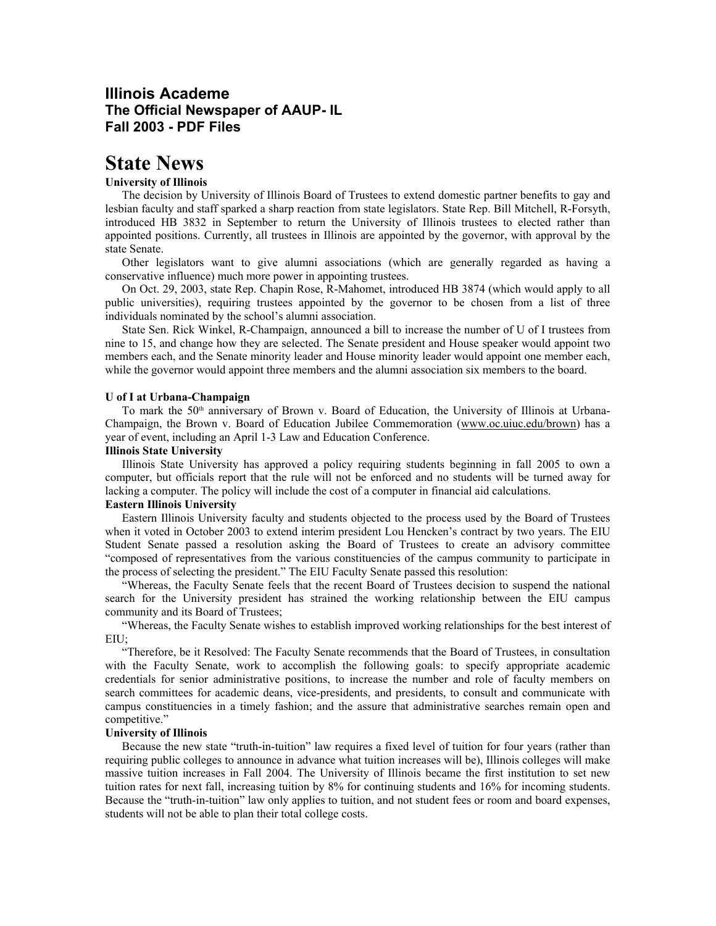## **Illinois Academe The Official Newspaper of AAUP- IL Fall 2003 - PDF Files**

# **State News**

#### **University of Illinois**

The decision by University of Illinois Board of Trustees to extend domestic partner benefits to gay and lesbian faculty and staff sparked a sharp reaction from state legislators. State Rep. Bill Mitchell, R-Forsyth, introduced HB 3832 in September to return the University of Illinois trustees to elected rather than appointed positions. Currently, all trustees in Illinois are appointed by the governor, with approval by the state Senate.

Other legislators want to give alumni associations (which are generally regarded as having a conservative influence) much more power in appointing trustees.

On Oct. 29, 2003, state Rep. Chapin Rose, R-Mahomet, introduced HB 3874 (which would apply to all public universities), requiring trustees appointed by the governor to be chosen from a list of three individuals nominated by the school's alumni association.

State Sen. Rick Winkel, R-Champaign, announced a bill to increase the number of U of I trustees from nine to 15, and change how they are selected. The Senate president and House speaker would appoint two members each, and the Senate minority leader and House minority leader would appoint one member each, while the governor would appoint three members and the alumni association six members to the board.

#### **U of I at Urbana-Champaign**

To mark the 50<sup>th</sup> anniversary of Brown v. Board of Education, the University of Illinois at Urbana-Champaign, the Brown v. Board of Education Jubilee Commemoration (www.oc.uiuc.edu/brown) has a year of event, including an April 1-3 Law and Education Conference.

#### **Illinois State University**

Illinois State University has approved a policy requiring students beginning in fall 2005 to own a computer, but officials report that the rule will not be enforced and no students will be turned away for lacking a computer. The policy will include the cost of a computer in financial aid calculations.

#### **Eastern Illinois University**

Eastern Illinois University faculty and students objected to the process used by the Board of Trustees when it voted in October 2003 to extend interim president Lou Hencken's contract by two years. The EIU Student Senate passed a resolution asking the Board of Trustees to create an advisory committee "composed of representatives from the various constituencies of the campus community to participate in the process of selecting the president." The EIU Faculty Senate passed this resolution:

"Whereas, the Faculty Senate feels that the recent Board of Trustees decision to suspend the national search for the University president has strained the working relationship between the EIU campus community and its Board of Trustees;

"Whereas, the Faculty Senate wishes to establish improved working relationships for the best interest of EIU;

"Therefore, be it Resolved: The Faculty Senate recommends that the Board of Trustees, in consultation with the Faculty Senate, work to accomplish the following goals: to specify appropriate academic credentials for senior administrative positions, to increase the number and role of faculty members on search committees for academic deans, vice-presidents, and presidents, to consult and communicate with campus constituencies in a timely fashion; and the assure that administrative searches remain open and competitive."

#### **University of Illinois**

Because the new state "truth-in-tuition" law requires a fixed level of tuition for four years (rather than requiring public colleges to announce in advance what tuition increases will be), Illinois colleges will make massive tuition increases in Fall 2004. The University of Illinois became the first institution to set new tuition rates for next fall, increasing tuition by 8% for continuing students and 16% for incoming students. Because the "truth-in-tuition" law only applies to tuition, and not student fees or room and board expenses, students will not be able to plan their total college costs.